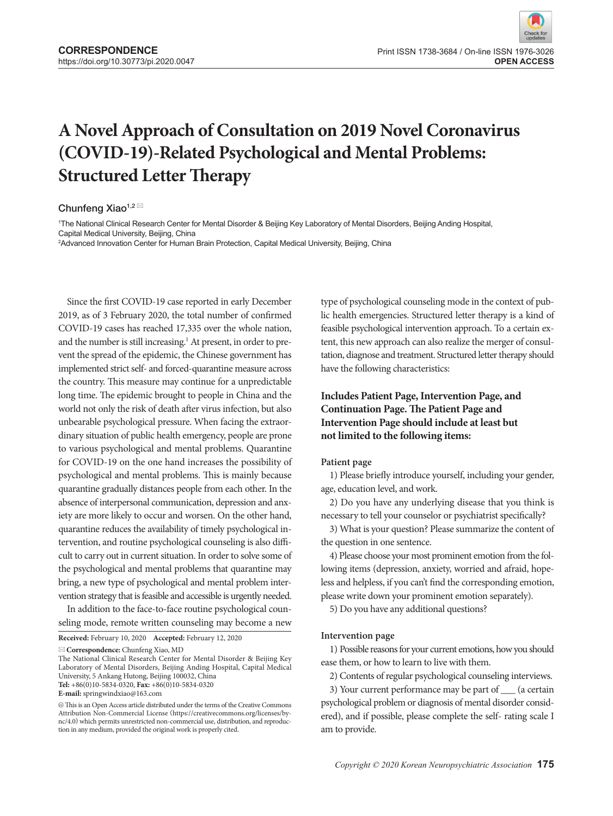# **A Novel Approach of Consultation on 2019 Novel Coronavirus (COVID-19)-Related Psychological and Mental Problems: Structured Letter Therapy**

Chunfeng Xiao<sup>1,2</sup>

1 The National Clinical Research Center for Mental Disorder & Beijing Key Laboratory of Mental Disorders, Beijing Anding Hospital, Capital Medical University, Beijing, China

2 Advanced Innovation Center for Human Brain Protection, Capital Medical University, Beijing, China

Since the first COVID-19 case reported in early December 2019, as of 3 February 2020, the total number of confirmed COVID-19 cases has reached 17,335 over the whole nation, and the number is still increasing.<sup>1</sup> At present, in order to prevent the spread of the epidemic, the Chinese government has implemented strict self- and forced-quarantine measure across the country. This measure may continue for a unpredictable long time. The epidemic brought to people in China and the world not only the risk of death after virus infection, but also unbearable psychological pressure. When facing the extraordinary situation of public health emergency, people are prone to various psychological and mental problems. Quarantine for COVID-19 on the one hand increases the possibility of psychological and mental problems. This is mainly because quarantine gradually distances people from each other. In the absence of interpersonal communication, depression and anxiety are more likely to occur and worsen. On the other hand, quarantine reduces the availability of timely psychological intervention, and routine psychological counseling is also difficult to carry out in current situation. In order to solve some of the psychological and mental problems that quarantine may bring, a new type of psychological and mental problem intervention strategy that is feasible and accessible is urgently needed.

In addition to the face-to-face routine psychological counseling mode, remote written counseling may become a new

**Received:** February 10, 2020 **Accepted:** February 12, 2020

**Correspondence:** Chunfeng Xiao, MD

The National Clinical Research Center for Mental Disorder & Beijing Key Laboratory of Mental Disorders, Beijing Anding Hospital, Capital Medical University, 5 Ankang Hutong, Beijing 100032, China **Tel:** +86(0)10-5834-0320, **Fax:** +86(0)10-5834-0320

**E-mail:** springwindxiao@163.com

type of psychological counseling mode in the context of public health emergencies. Structured letter therapy is a kind of feasible psychological intervention approach. To a certain extent, this new approach can also realize the merger of consultation, diagnose and treatment. Structured letter therapy should have the following characteristics:

# **Includes Patient Page, Intervention Page, and Continuation Page. The Patient Page and Intervention Page should include at least but not limited to the following items:**

#### **Patient page**

1) Please briefly introduce yourself, including your gender, age, education level, and work.

2) Do you have any underlying disease that you think is necessary to tell your counselor or psychiatrist specifically?

3) What is your question? Please summarize the content of the question in one sentence.

4) Please choose your most prominent emotion from the following items (depression, anxiety, worried and afraid, hopeless and helpless, if you can't find the corresponding emotion, please write down your prominent emotion separately).

5) Do you have any additional questions?

#### **Intervention page**

1) Possible reasons for your current emotions, how you should ease them, or how to learn to live with them.

2) Contents of regular psychological counseling interviews.

 $\circledcirc$  This is an Open Access article distributed under the terms of the Creative Commons Attribution Non-Commercial License (https://creativecommons.org/licenses/bync/4.0) which permits unrestricted non-commercial use, distribution, and reproduction in any medium, provided the original work is properly cited.

<sup>3)</sup> Your current performance may be part of \_\_\_ (a certain psychological problem or diagnosis of mental disorder considered), and if possible, please complete the self- rating scale I am to provide.